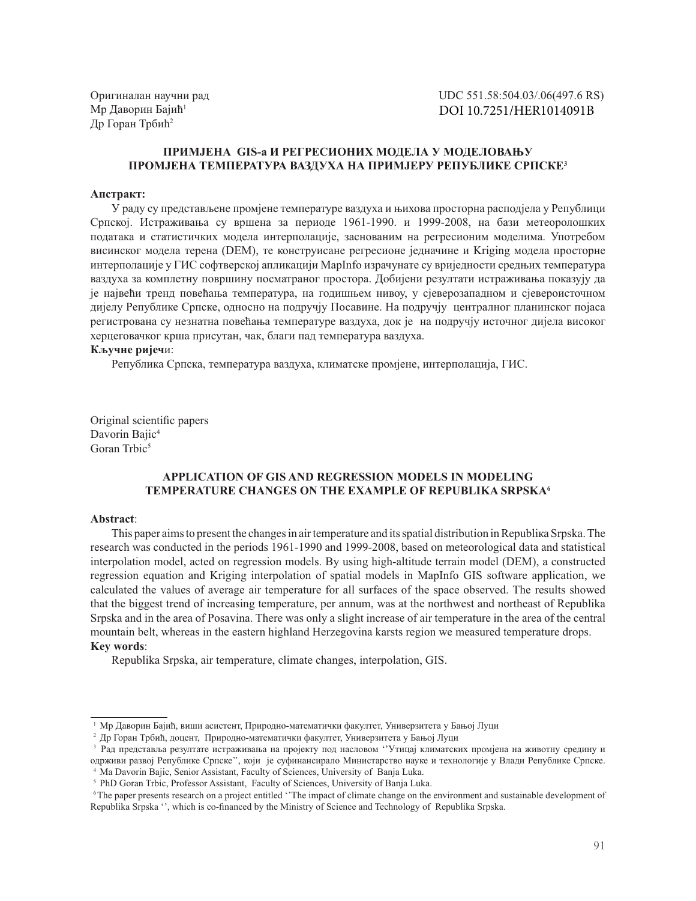Оригиналан научни рад Мр Даворин Бајић<sup>1</sup> Др Горан Трбић<sup>2</sup>

UDC 551.58:504.03/.06(497.6 RS) DOI 10.7251/HER1014091B

## ПРИМЈЕНА GIS-а И РЕГРЕСИОНИХ МОДЕЛА У МОДЕЛОВАЊУ ПРОМЈЕНА ТЕМПЕРАТУРА ВАЗДУХА НА ПРИМЈЕРУ РЕПУБЛИКЕ СРПСКЕЗ

#### Апстракт:

У раду су представљене промјене температуре ваздуха и њихова просторна расподјела у Републици Српској. Истраживања су вршена за периоде 1961-1990. и 1999-2008, на бази метеоролошких података и статистичких модела интерполације, заснованим на регресионим моделима. Употребом висинског модела терена (DEM), те конструисане регресионе једначине и Kriging модела просторне интерполације у ГИС софтверској апликацији МарInfo израчунате су вриједности средњих температура ваздуха за комплетну површину посматраног простора. Добијени резултати истраживања показују да је највећи тренд повећања температура, на годишњем нивоу, у сјеверозападном и сјевероисточном дијелу Републике Српске, односно на подручју Посавине. На подручју централног планинског појаса регистрована су незнатна повећања температуре ваздуха, док је на подручју источног дијела високог херцеговачког крша присутан, чак, благи пад температура ваздуха.

## Кључне ријечи:

Република Српска, температура ваздуха, климатске промјене, интерполација, ГИС.

Original scientific papers Davorin Bajic<sup>4</sup> Goran Trbic<sup>5</sup>

# **APPLICATION OF GIS AND REGRESSION MODELS IN MODELING** TEMPERATURE CHANGES ON THE EXAMPLE OF REPUBLIKA SRPSKA<sup>6</sup>

#### Abstract:

This paper aims to present the changes in air temperature and its spatial distribution in Republika Srpska. The research was conducted in the periods 1961-1990 and 1999-2008, based on meteorological data and statistical interpolation model, acted on regression models. By using high-altitude terrain model (DEM), a constructed regression equation and Kriging interpolation of spatial models in MapInfo GIS software application, we calculated the values of average air temperature for all surfaces of the space observed. The results showed that the biggest trend of increasing temperature, per annum, was at the northwest and northeast of Republika Srpska and in the area of Posavina. There was only a slight increase of air temperature in the area of the central mountain belt, whereas in the eastern highland Herzegovina karsts region we measured temperature drops. **Key words:** 

Republika Srpska, air temperature, climate changes, interpolation, GIS.

 $1$  Мр Даворин Бајић, виши асистент, Природно-математички факултет, Универзитета у Бањој Луци

<sup>2</sup> Др Горан Трбић, доцент, Природно-математички факултет, Универзитета у Бањој Луци

<sup>&</sup>lt;sup>3</sup> Рад представља резултате истраживања на пројекту под насловом "Утицај климатских промјена на животну средину и одрживи развој Републике Српске", који је суфинансирало Министарство науке и технологије у Влади Републике Српске. <sup>4</sup> Ma Davorin Bajic, Senior Assistant, Faculty of Sciences, University of Banja Luka.

<sup>&</sup>lt;sup>5</sup> PhD Goran Trbic, Professor Assistant, Faculty of Sciences, University of Banja Luka.

<sup>&</sup>lt;sup>6</sup>The paper presents research on a project entitled "The impact of climate change on the environment and sustainable development of Republika Srpska ", which is co-financed by the Ministry of Science and Technology of Republika Srpska.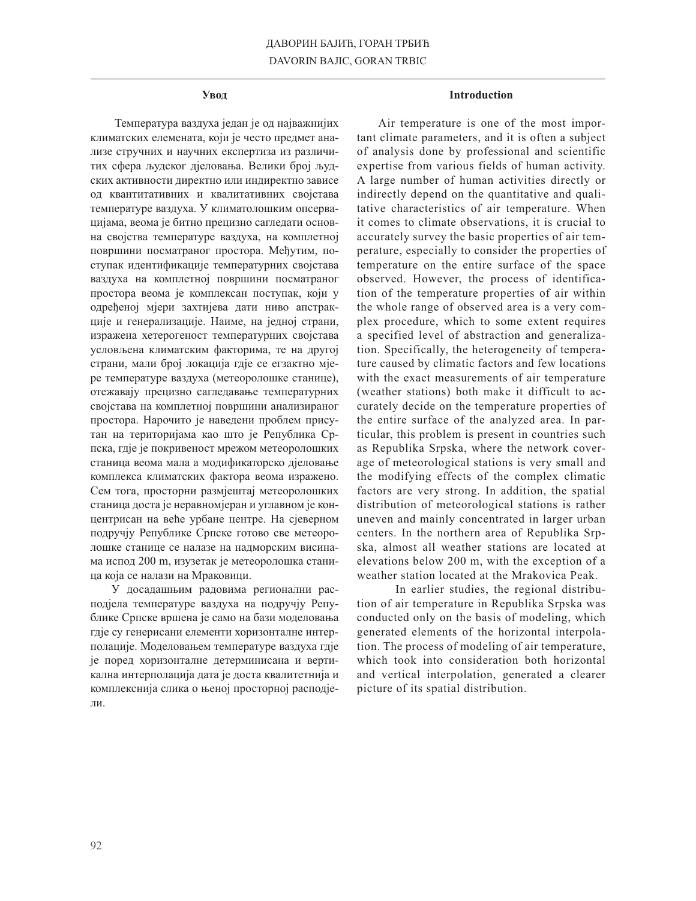#### Увод

Температура ваздуха један је од најважнијих климатских елемената, који је често предмет анализе стручних и научних експертиза из различитих сфера људског дјеловања. Велики број људских активности директно или индиректно зависе од квантитативних и квалитативних својстава температуре ваздуха. У климатолошким опсервацијама, веома је битно прецизно сагледати основна својства температуре ваздуха, на комплетној површини посматраног простора. Међутим, поступак идентификације температурних својстава ваздуха на комплетној површини посматраног простора веома је комплексан поступак, који у одређеној мјери захтијева дати ниво апстракције и генерализације. Наиме, на једној страни, изражена хетерогеност температурних својстава условљена климатским факторима, те на другој страни, мали број локација гдје се егзактно мјере температуре ваздуха (метеоролошке станице), отежавају прецизно сагледавање температурних својстава на комплетној површини анализираног простора. Нарочито је наведени проблем присутан на територијама као што је Република Српска, гдје је покривеност мрежом метеоролошких станица веома мала а модификаторско дјеловање комплекса климатских фактора веома изражено. Сем тога, просторни размјештај метеоролошких станица доста је неравномјеран и углавном је концентрисан на веће урбане центре. На сјеверном подручју Републике Српске готово све метеоролошке станице се налазе на надморским висинама испод 200 m, изузетак је метеоролошка станица која се налази на Мраковици.

У досадашњим радовима регионални расподјела температуре ваздуха на подручју Републике Српске вршена је само на бази моделовања гдје су генерисани елементи хоризонталне интерполације. Моделовањем температуре ваздуха гдје је поред хоризонталне детерминисана и вертикална интерполација дата је доста квалитетнија и комплекснија слика о њеној просторној расподјели.

### **Introduction**

Air temperature is one of the most important climate parameters, and it is often a subject of analysis done by professional and scientific expertise from various fields of human activity. A large number of human activities directly or indirectly depend on the quantitative and qualitative characteristics of air temperature. When it comes to climate observations, it is crucial to accurately survey the basic properties of air temperature, especially to consider the properties of temperature on the entire surface of the space observed. However, the process of identification of the temperature properties of air within the whole range of observed area is a very complex procedure, which to some extent requires a specified level of abstraction and generalization. Specifically, the heterogeneity of temperature caused by climatic factors and few locations with the exact measurements of air temperature (weather stations) both make it difficult to accurately decide on the temperature properties of the entire surface of the analyzed area. In particular, this problem is present in countries such as Republika Srpska, where the network coverage of meteorological stations is very small and the modifying effects of the complex climatic factors are very strong. In addition, the spatial distribution of meteorological stations is rather uneven and mainly concentrated in larger urban centers. In the northern area of Republika Srpska, almost all weather stations are located at elevations below 200 m, with the exception of a weather station located at the Mrakovica Peak.

In earlier studies, the regional distribution of air temperature in Republika Srpska was conducted only on the basis of modeling, which generated elements of the horizontal interpolation. The process of modeling of air temperature, which took into consideration both horizontal and vertical interpolation, generated a clearer picture of its spatial distribution.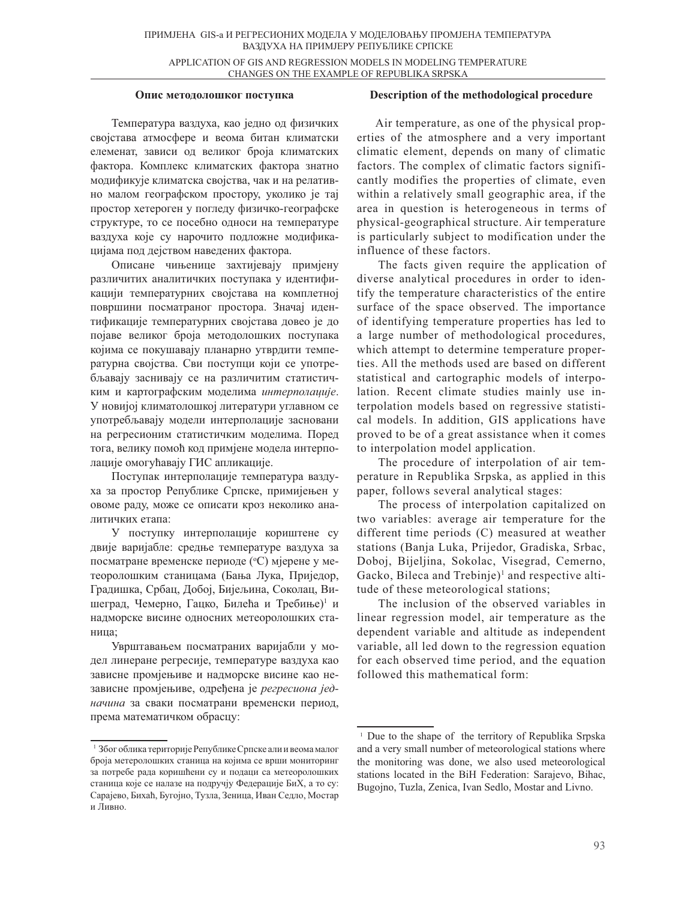APPLICATION OF GIS AND REGRESSION MODELS IN MODELING TEMPERATURE CHANGES ON THE EXAMPLE OF REPUBLIKA SRPSKA

### Опис методолошког поступка

Температура ваздуха, као једно од физичких својстава атмосфере и веома битан климатски елеменат, зависи од великог броја климатских фактора. Комплекс климатских фактора знатно модификује климатска својства, чак и на релативно малом географском простору, уколико је тај простор хетероген у погледу физичко-географске структуре, то се посебно односи на температуре ваздуха које су нарочито подложне модификацијама под дејством наведених фактора.

Описане чињенице захтијевају примјену различитих аналитичких поступака у идентификацији температурних својстава на комплетној површини посматраног простора. Значај идентификације температурних својстава довео је до појаве великог броја методолошких поступака којима се покушавају планарно утврдити температурна својства. Сви поступци који се употребљавају заснивају се на различитим статистичким и картографским моделима интерполације. У новијој климатолошкој литератури углавном се употребљавају модели интерполације засновани на регресионим статистичким моделима. Поред тога, велику помоћ код примјене модела интерполације омогућавају ГИС апликације.

Поступак интерполације температура ваздуха за простор Републике Српске, примијењен у овоме раду, може се описати кроз неколико аналитичких етапа:

У поступку интерполације кориштене су двије варијабле: средње температуре ваздуха за посматране временске периоде (°С) мјерене у метеоролошким станицама (Бања Лука, Приједор, Градишка, Србац, Добој, Бијељина, Соколац, Вишеград, Чемерно, Гацко, Билећа и Требиње)<sup>1</sup> и надморске висине односних метеоролошких станица;

Уврштавањем посматраних варијабли у модел линеране регресије, температуре ваздуха као зависне промјењиве и надморске висине као независне промјењиве, одређена је *регресиона једначина* за сваки посматрани временски период, према математичком обрасцу:

## **Description of the methodological procedure**

 Air temperature, as one of the physical properties of the atmosphere and a very important climatic element, depends on many of climatic factors. The complex of climatic factors significantly modifies the properties of climate, even within a relatively small geographic area, if the area in question is heterogeneous in terms of physical-geographical structure. Air temperature is particularly subject to modification under the influence of these factors.

The facts given require the application of diverse analytical procedures in order to identify the temperature characteristics of the entire surface of the space observed. The importance of identifying temperature properties has led to a large number of methodological procedures, which attempt to determine temperature properties. All the methods used are based on different statistical and cartographic models of interpolation. Recent climate studies mainly use interpolation models based on regressive statistical models. In addition, GIS applications have proved to be of a great assistance when it comes to interpolation model application.

The procedure of interpolation of air temperature in Republika Srpska, as applied in this paper, follows several analytical stages:

The process of interpolation capitalized on two variables: average air temperature for the different time periods (C) measured at weather stations (Banja Luka, Prijedor, Gradiska, Srbac, Doboj, Bijeljina, Sokolac, Visegrad, Cemerno, Gacko, Bileca and Trebinje)<sup>1</sup> and respective altitude of these meteorological stations;

The inclusion of the observed variables in linear regression model, air temperature as the dependent variable and altitude as independent variable, all led down to the regression equation for each observed time period, and the equation followed this mathematical form:

 $^1$  Због облика територије Републике Српске али и веома малог броја метеролошких станица на којима се врши мониторинг за потребе рада коришћени су и подаци са метеоролошких станица које се налазе на подручју Федерације БиХ, а то су: Сарајево, Бихаћ, Бугојно, Тузла, Зеница, Иван Седло, Мостар и Ливно.

<sup>&</sup>lt;sup>1</sup> Due to the shape of the territory of Republika Srpska and a very small number of meteorological stations where the monitoring was done, we also used meteorological stations located in the BiH Federation: Sarajevo, Bihac, Bugojno, Tuzla, Zenica, Ivan Sedlo, Mostar and Livno.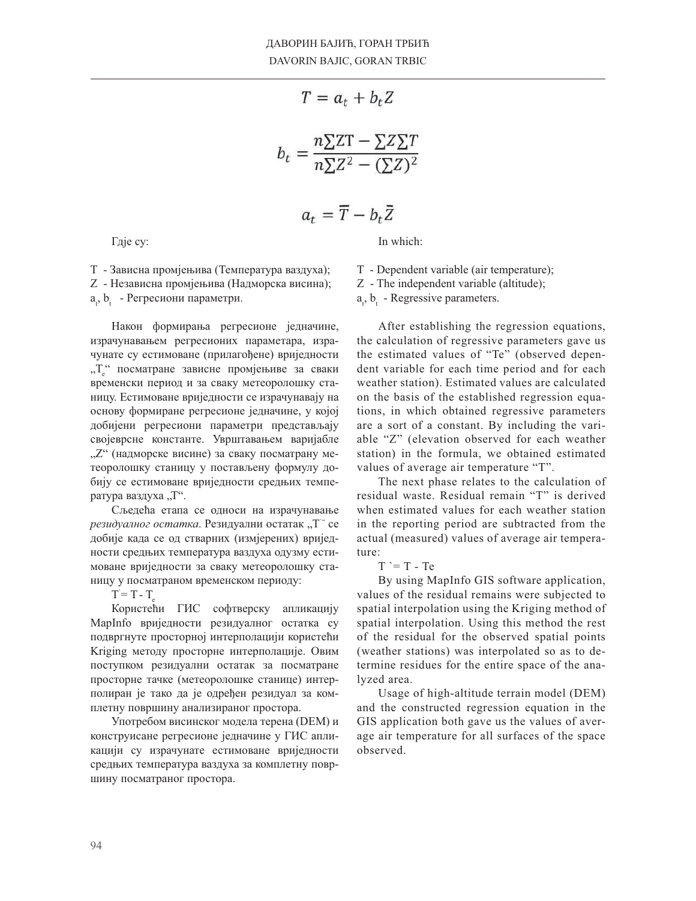$$
T = a_t + b_t Z
$$

$$
b_t = \frac{n \sum ZT - \sum Z \sum T}{n \sum Z^2 - (\sum Z)^2}
$$

$$
a_t = \overline{T} - b_t \overline{Z}
$$

Гдје су:

In which:

Т - Зависна промјењива (Температура ваздуха); Z - Независна промјењива (Надморска висина);

а<sub>t</sub>, b<sub>t</sub> - Регресиони параметри.

Након формирања регресионе једначине, израчунавањем регресионих параметара, израчунате су естимоване (прилагођене) вриједности " $T_e^*$  посматране зависне промјењиве за сваки временски период и за сваку метеоролошку станицу. Естимоване вриједности се израчунавају на основу формиране регресионе једначине, у којој добијени регресиони параметри представљају својеврсне константе. Уврштавањем варијабле "Z" (надморске висине) за сваку посматрану метеоролошку станицу у постављену формулу добију се естимоване вриједности средњих температура ваздуха "Т".

Сљедећа етапа се односи на израчунавање *резидуалног остатка*. Резидуални остатак "Т" се добије када се од стварних (измјерених) вриједности средњих температура ваздуха одузму естимоване вриједности за сваку метеоролошку станицу у посматраном временском периоду:

 $T = T - T_e$ 

Користећи ГИС софтверску апликацију MapInfo вриједности резидуалног остатка су подвргнуте просторној интерполацији користећи Kriging методу просторне интерполације. Овим поступком резидуални остатак за посматране просторне тачке (метеоролошке станице) интерполиран је тако да је одређен резидуал за комплетну површину анализираног простора.

Употребом висинског модела терена (DEM) и конструисане регресионе једначине у ГИС апликацији су израчунате естимоване вриједности средњих температура ваздуха за комплетну површину посматраног простора.

T - Dependent variable (air temperature);

Z - The independent variable (altitude);

 $a_t$ ,  $b_t$  - Regressive parameters.

After establishing the regression equations, the calculation of regressive parameters gave us the estimated values of "Te" (observed dependent variable for each time period and for each weather station). Estimated values are calculated on the basis of the established regression equations, in which obtained regressive parameters are a sort of a constant. By including the variable "Z" (elevation observed for each weather station) in the formula, we obtained estimated values of average air temperature "T".

The next phase relates to the calculation of residual waste. Residual remain "T" is derived when estimated values for each weather station in the reporting period are subtracted from the actual (measured) values of average air temperature:

 $T = T - Te$ 

By using MapInfo GIS software application, values of the residual remains were subjected to spatial interpolation using the Kriging method of spatial interpolation. Using this method the rest of the residual for the observed spatial points (weather stations) was interpolated so as to determine residues for the entire space of the analyzed area.

Usage of high-altitude terrain model (DEM) and the constructed regression equation in the GIS application both gave us the values of average air temperature for all surfaces of the space observed.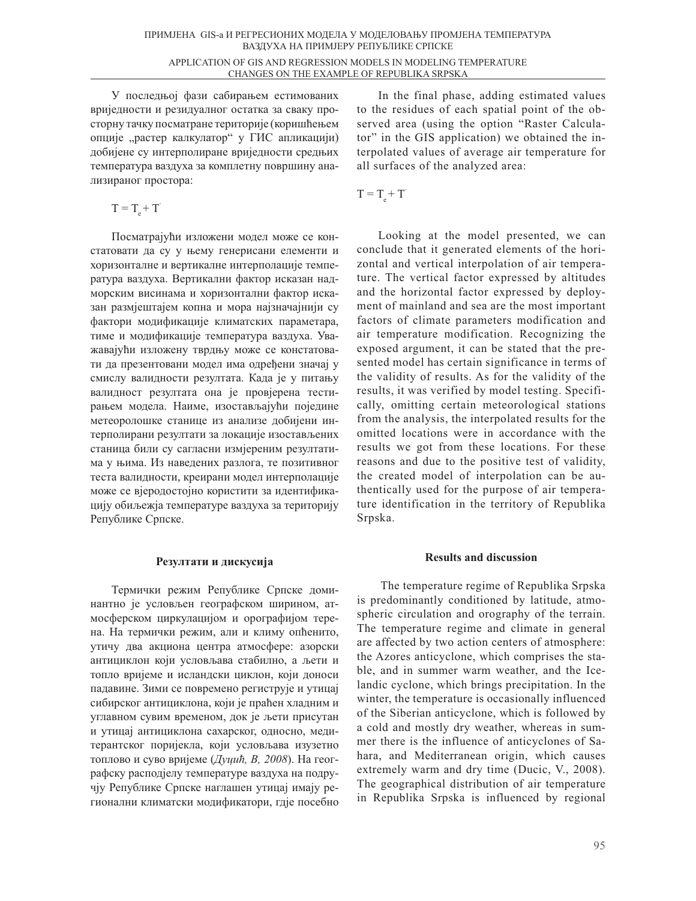У последњој фази сабирањем естимованих вриједности и резидуалног остатка за сваку просторну тачку посматране територије (коришћењем опције "растер калкулатор" у ГИС апликацији) добијене су интерполиране вриједности средњих температура ваздуха за комплетну површину анализираног простора:

 $T = T + T'$ 

Посматрајући изложени модел може се констатовати да су у њему генерисани елементи и хоризонталне и вертикалне интерполације температура ваздуха. Вертикални фактор исказан надморским висинама и хоризонтални фактор исказан размјештајем копна и мора најзначајнији су фактори модификације климатских параметара, тиме и модификације температура ваздуха. Уважавајући изложену тврдњу може се констатовати да презентовани модел има одређени значај у смислу валидности резултата. Када је у питању валидност резултата она је провјерена тестирањем модела. Наиме, изостављајући поједине метеоролошке станице из анализе добијени интерполирани резултати за локације изостављених станица били су сагласни измјереним резултатима у њима. Из наведених разлога, те позитивног теста валидности, креирани модел интерполације може се вјеродостојно користити за идентификацију обиљежја температуре ваздуха за територију Републике Српске.

## Резултати и дискусија

Термички режим Републике Српске доминантно је условљен географском ширином, атмосферском циркулацијом и орографијом терена. На термички режим, али и климу опћенито, утичу два акциона центра атмосфере: азорски антициклон који условљава стабилно, а љети и топло вријеме и исландски циклон, који доноси падавине. Зими се повремено региструје и утицај сибирског антициклона, који је праћен хладним и углавном сувим временом, док је љети присутан и утицај антициклона сахарског, односно, медитерантског поријекла, који условљава изузетно топлово и суво вријеме (*Дуцић, В, 2008*). На географску расподјелу температуре ваздуха на подручју Републике Српске наглашен утицај имају регионални климатски модификатори, гдје посебно

In the final phase, adding estimated values to the residues of each spatial point of the observed area (using the option "Raster Calculator" in the GIS application) we obtained the interpolated values of average air temperature for all surfaces of the analyzed area:

$$
T=T_{\rm e}^{}+T^{\cdot}
$$

Looking at the model presented, we can conclude that it generated elements of the horizontal and vertical interpolation of air temperature. The vertical factor expressed by altitudes and the horizontal factor expressed by deployment of mainland and sea are the most important factors of climate parameters modification and air temperature modification. Recognizing the exposed argument, it can be stated that the presented model has certain significance in terms of the validity of results. As for the validity of the results, it was verified by model testing. Specifically, omitting certain meteorological stations from the analysis, the interpolated results for the omitted locations were in accordance with the results we got from these locations. For these reasons and due to the positive test of validity, the created model of interpolation can be authentically used for the purpose of air temperature identification in the territory of Republika Srpska.

### **Results and discussion**

 The temperature regime of Republika Srpska is predominantly conditioned by latitude, atmospheric circulation and orography of the terrain. The temperature regime and climate in general are affected by two action centers of atmosphere: the Azores anticyclone, which comprises the stable, and in summer warm weather, and the Icelandic cyclone, which brings precipitation. In the winter, the temperature is occasionally influenced of the Siberian anticyclone, which is followed by a cold and mostly dry weather, whereas in summer there is the influence of anticyclones of Sahara, and Mediterranean origin, which causes extremely warm and dry time (Ducic, V., 2008). The geographical distribution of air temperature in Republika Srpska is influenced by regional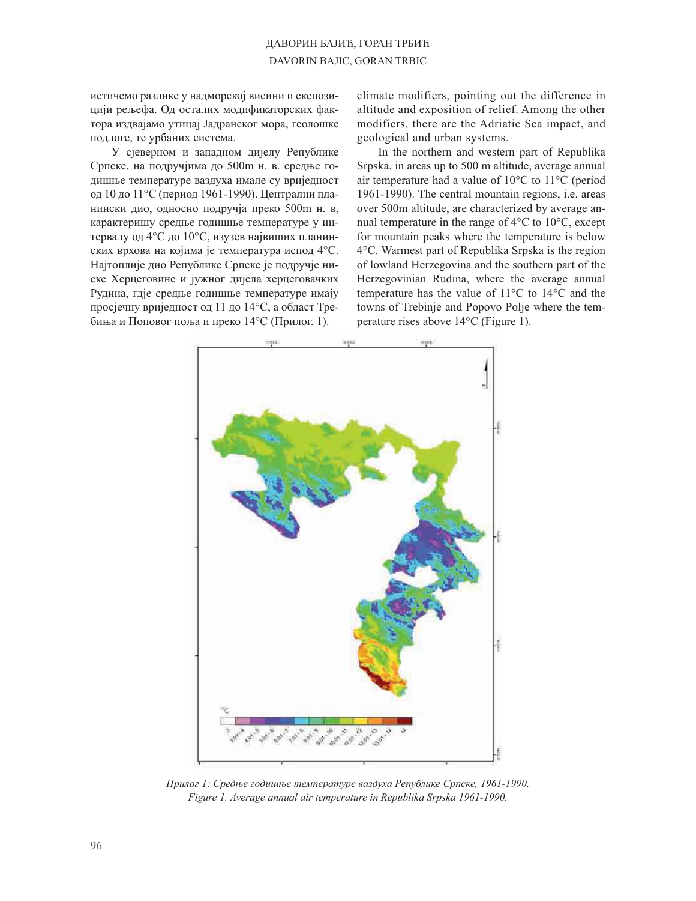истичемо разлике у надморској висини и експозицији рељефа. Од осталих модификаторских фактора издвајамо утицај Јадранског мора, геолошке подлоге, те урбаних система.

У сјеверном и западном дијелу Републике Српске, на подручјима до 500m н. в. средње годишње температуре ваздуха имале су вриједност од 10 до 11°С (период 1961-1990). Централни планински дио, односно подручја преко 500m н. в, карактеришу средње годишње температуре у интервалу од 4°С до 10°С, изузев највиших планинских врхова на којима је температура испод 4°С. Најтоплије дио Републике Српске је подручје ниске Херцеговине и јужног дијела херцеговачких Рудина, гдје средње годишње температуре имају просјечну вриједност од 11 до 14°С, а област Требиња и Поповог поља и преко 14°С (Прилог. 1).

climate modifiers, pointing out the difference in altitude and exposition of relief. Among the other modifiers, there are the Adriatic Sea impact, and geological and urban systems.

In the northern and western part of Republika Srpska, in areas up to 500 m altitude, average annual air temperature had a value of  $10^{\circ}$ C to  $11^{\circ}$ C (period 1961-1990). The central mountain regions, i.e. areas over 500m altitude, are characterized by average annual temperature in the range of  $4^{\circ}$ C to  $10^{\circ}$ C, except for mountain peaks where the temperature is below 4°C. Warmest part of Republika Srpska is the region of lowland Herzegovina and the southern part of the Herzegovinian Rudina, where the average annual temperature has the value of 11°C to 14°C and the towns of Trebinje and Popovo Polje where the temperature rises above  $14^{\circ}$ C (Figure 1).



Прилог 1: Средње годишње температуре ваздуха Републике Српске, 1961-1990. Figure 1. Average annual air temperature in Republika Srpska 1961-1990.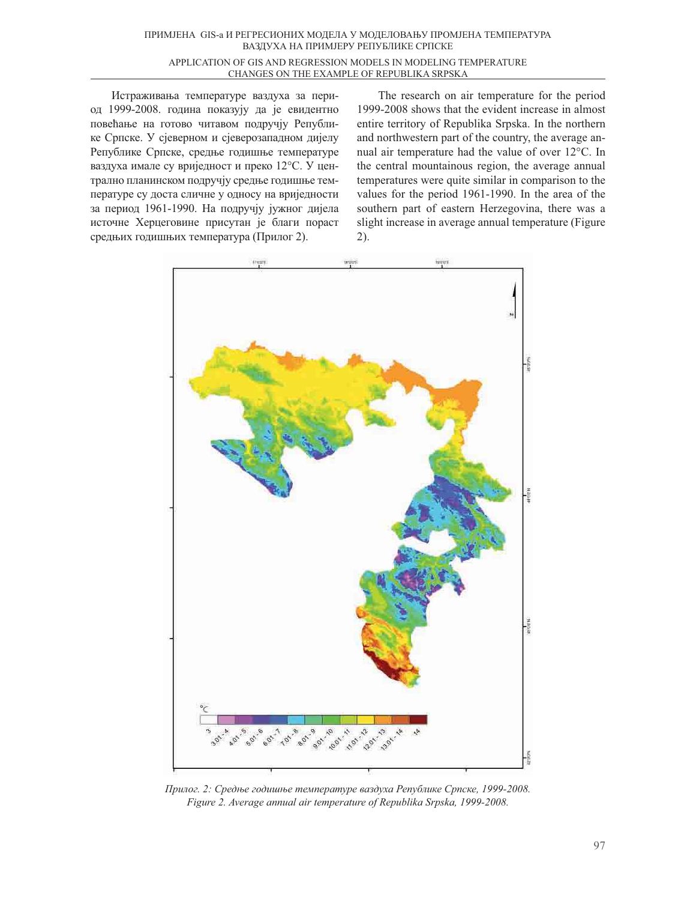Истраживања температуре ваздуха за период 1999-2008. година показују да је евидентно повећање на готово читавом подручју Републике Српске. У сјеверном и сјеверозападном дијелу Републике Српске, средње годишње температуре ваздуха имале су вриједност и преко 12°С. У централно планинском подручју средње годишње температуре су доста сличне у односу на вриједности за период 1961-1990. На подручју јужног дијела источне Херцеговине присутан је благи пораст средњих годишњих температура (Прилог 2).

The research on air temperature for the period 1999-2008 shows that the evident increase in almost entire territory of Republika Srpska. In the northern and northwestern part of the country, the average annual air temperature had the value of over 12°C. In the central mountainous region, the average annual temperatures were quite similar in comparison to the values for the period 1961-1990. In the area of the southern part of eastern Herzegovina, there was a slight increase in average annual temperature (Figure 2).



Прилог. 2: Средње годишње температуре ваздуха Републике Српске, 1999-2008. *Figure 2. Average annual air temperature of Republika Srpska, 1999-2008.*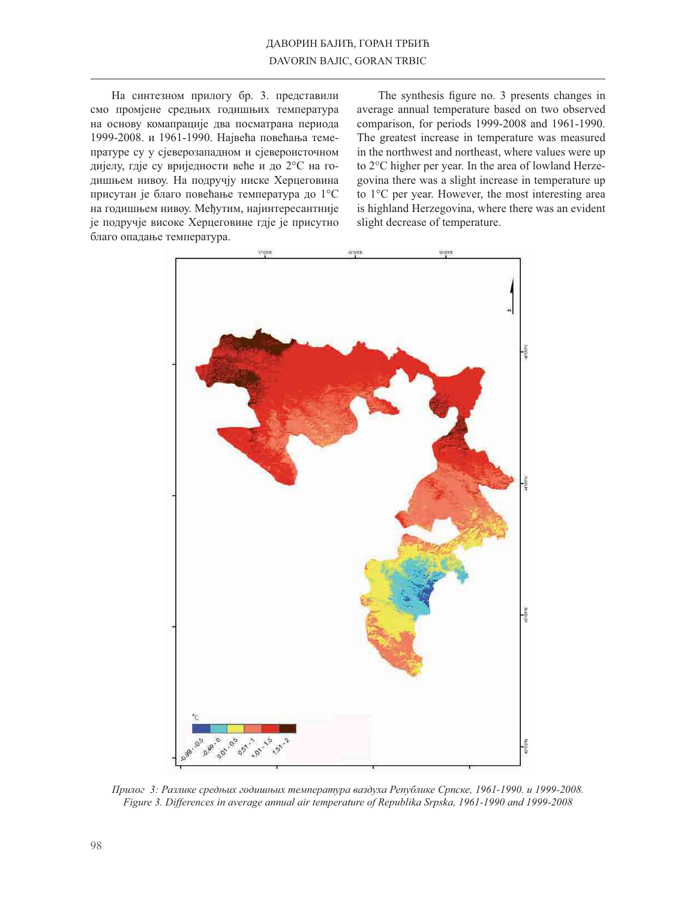На синтезном прилогу бр. 3. представили смо промјене средњих годишњих температура на основу комапрације два посматрана периода 1999-2008. и 1961-1990. Највећа повећања темепратуре су у сјеверозападном и сјевероисточном дијелу, гдје су вриједности веће и до 2°С на годишњем нивоу. На подручју ниске Херцеговина присутан је благо повећање температура до 1°С на годишњем нивоу. Међутим, најинтересантније је подручје високе Херцеговине гдје је присутно благо опадање температура.

The synthesis figure no. 3 presents changes in average annual temperature based on two observed comparison, for periods 1999-2008 and 1961-1990. The greatest increase in temperature was measured in the northwest and northeast, where values were up to 2°C higher per year. In the area of lowland Herzegovina there was a slight increase in temperature up to  $1^{\circ}$ C per year. However, the most interesting area is highland Herzegovina, where there was an evident slight decrease of temperature.



Прилог 3: Разлике средњих годишњих температура ваздуха Републике Српске, 1961-1990. и 1999-2008. Figure 3. Differences in average annual air temperature of Republika Srpska, 1961-1990 and 1999-2008